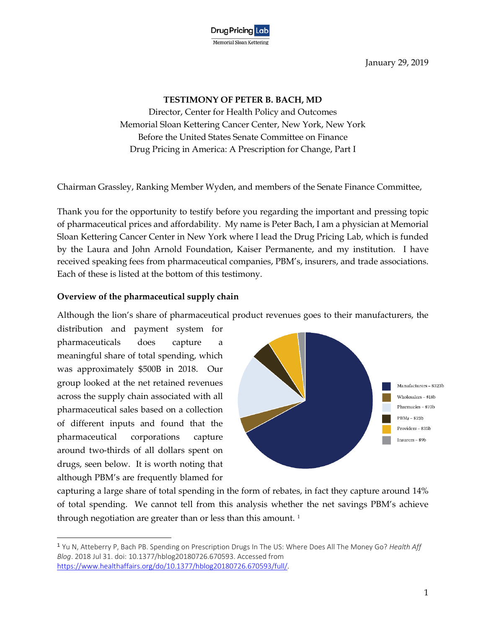

January 29, 2019

#### **TESTIMONY OF PETER B. BACH, MD**

Director, Center for Health Policy and Outcomes Memorial Sloan Kettering Cancer Center, New York, New York Before the United States Senate Committee on Finance Drug Pricing in America: A Prescription for Change, Part I

Chairman Grassley, Ranking Member Wyden, and members of the Senate Finance Committee,

Thank you for the opportunity to testify before you regarding the important and pressing topic of pharmaceutical prices and affordability. My name is Peter Bach, I am a physician at Memorial Sloan Kettering Cancer Center in New York where I lead the Drug Pricing Lab, which is funded by the Laura and John Arnold Foundation, Kaiser Permanente, and my institution. I have received speaking fees from pharmaceutical companies, PBM's, insurers, and trade associations. Each of these is listed at the bottom of this testimony.

#### **Overview of the pharmaceutical supply chain**

Although the lion's share of pharmaceutical product revenues goes to their manufacturers, the

distribution and payment system for pharmaceuticals does capture a meaningful share of total spending, which was approximately \$500B in 2018. Our group looked at the net retained revenues across the supply chain associated with all pharmaceutical sales based on a collection of different inputs and found that the pharmaceutical corporations capture around two-thirds of all dollars spent on drugs, seen below. It is worth noting that although PBM's are frequently blamed for



capturing a large share of total spending in the form of rebates, in fact they capture around 14% of total spending. We cannot tell from this analysis whether the net savings PBM's achieve through negotiation are greater than or less than this amount.<sup>[1](#page-0-0)</sup>

<span id="page-0-0"></span> <sup>1</sup> Yu N, Atteberry P, Bach PB. Spending on Prescription Drugs In The US: Where Does All The Money Go? *Health Aff Blog*. 2018 Jul 31. doi: 10.1377/hblog20180726.670593. Accessed from [https://www.healthaffairs.org/do/10.1377/hblog20180726.670593/full/.](https://www.healthaffairs.org/do/10.1377/hblog20180726.670593/full/)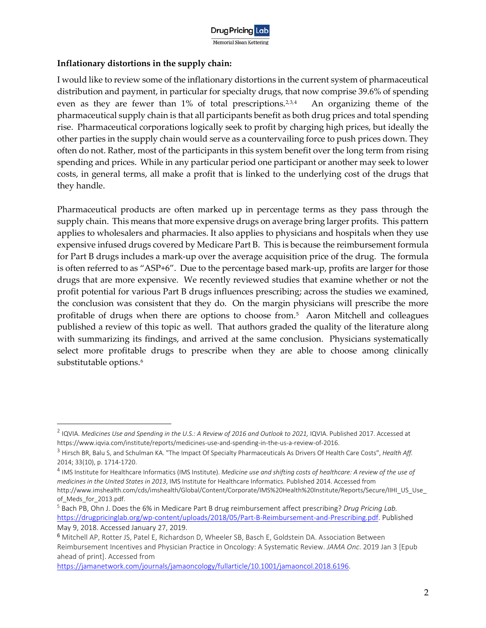

# **Inflationary distortions in the supply chain:**

<span id="page-1-5"></span> $\ddot{\phantom{a}}$ 

I would like to review some of the inflationary distortions in the current system of pharmaceutical distribution and payment, in particular for specialty drugs, that now comprise 39.6% of spending even as they are fewer than  $1\%$  of total prescriptions.<sup>[2](#page-1-0),[3,](#page-1-1)[4](#page-1-2)</sup> An organizing theme of the pharmaceutical supply chain is that all participants benefit as both drug prices and total spending rise. Pharmaceutical corporations logically seek to profit by charging high prices, but ideally the other parties in the supply chain would serve as a countervailing force to push prices down. They often do not. Rather, most of the participants in this system benefit over the long term from rising spending and prices. While in any particular period one participant or another may seek to lower costs, in general terms, all make a profit that is linked to the underlying cost of the drugs that they handle.

Pharmaceutical products are often marked up in percentage terms as they pass through the supply chain. This means that more expensive drugs on average bring larger profits. This pattern applies to wholesalers and pharmacies. It also applies to physicians and hospitals when they use expensive infused drugs covered by Medicare Part B. This is because the reimbursement formula for Part B drugs includes a mark-up over the average acquisition price of the drug. The formula is often referred to as "ASP+6". Due to the percentage based mark-up, profits are larger for those drugs that are more expensive. We recently reviewed studies that examine whether or not the profit potential for various Part B drugs influences prescribing; across the studies we examined, the conclusion was consistent that they do. On the margin physicians will prescribe the more profitable of drugs when there are options to choose from.[5](#page-1-3) Aaron Mitchell and colleagues published a review of this topic as well. That authors graded the quality of the literature along with summarizing its findings, and arrived at the same conclusion. Physicians systematically select more profitable drugs to prescribe when they are able to choose among clinically substitutable options.<sup>[6](#page-1-4)</sup>

[https://jamanetwork.com/journals/jamaoncology/fullarticle/10.1001/jamaoncol.2018.6196.](https://jamanetwork.com/journals/jamaoncology/fullarticle/10.1001/jamaoncol.2018.6196)

<span id="page-1-0"></span><sup>&</sup>lt;sup>2</sup> IQVIA. *Medicines Use and Spending in the U.S.: A Review of 2016 and Outlook to 2021.* IQVIA. Published 2017. Accessed at https://www.iqvia.com/institute/reports/medicines-use-and-spending-in-the-us-a-review-of-2016.

<span id="page-1-1"></span><sup>3</sup> Hirsch BR, Balu S, and Schulman KA. "The Impact Of Specialty Pharmaceuticals As Drivers Of Health Care Costs", *Health Aff.*  2014; 33(10), p. 1714-1720.

<span id="page-1-2"></span><sup>4</sup> IMS Institute for Healthcare Informatics (IMS Institute). *Medicine use and shifting costs of healthcare: A review of the use of medicines in the United States in 2013*, IMS Institute for Healthcare Informatics. Published 2014. Accessed from http://www.imshealth.com/cds/imshealth/Global/Content/Corporate/IMS%20Health%20Institute/Reports/Secure/IIHI\_US\_Use\_ of\_Meds\_for\_2013.pdf.

<span id="page-1-3"></span><sup>5</sup> Bach PB, Ohn J. Does the 6% in Medicare Part B drug reimbursement affect prescribing? *Drug Pricing Lab.* [https://drugpricinglab.org/wp-content/uploads/2018/05/Part-B-Reimbursement-and-Prescribing.pdf.](https://drugpricinglab.org/wp-content/uploads/2018/05/Part-B-Reimbursement-and-Prescribing.pdf) Published May 9, 2018. Accessed January 27, 2019.

<span id="page-1-4"></span><sup>6</sup> Mitchell AP, Rotter JS, Patel E, Richardson D, Wheeler SB, Basch E, Goldstein DA. Association Between Reimbursement Incentives and Physician Practice in Oncology: A Systematic Review. *JAMA Onc*. 2019 Jan 3 [Epub ahead of print]. Accessed from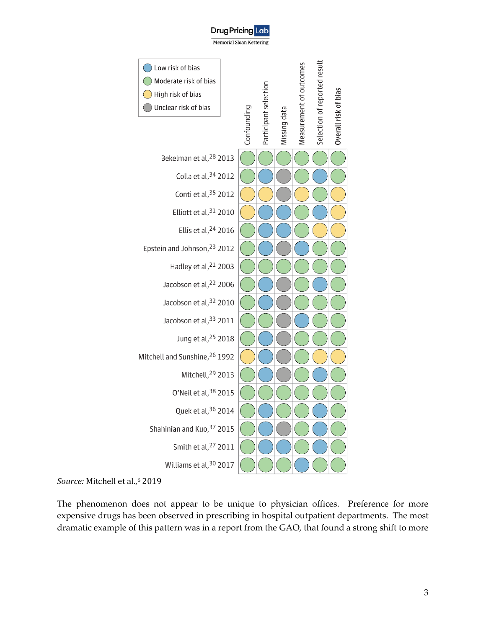

*Source:* Mitchell et al., [6](#page-1-5) 2019

The phenomenon does not appear to be unique to physician offices. Preference for more expensive drugs has been observed in prescribing in hospital outpatient departments. The most dramatic example of this pattern was in a report from the GAO, that found a strong shift to more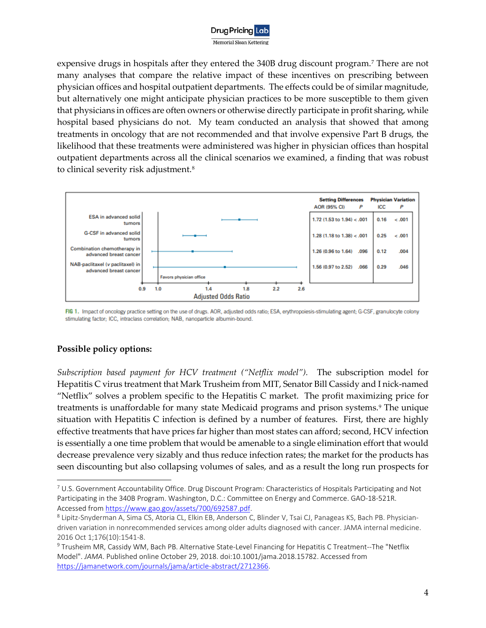

expensive drugs in hospitals after they entered the 340B drug discount program.[7](#page-3-0) There are not many analyses that compare the relative impact of these incentives on prescribing between physician offices and hospital outpatient departments. The effects could be of similar magnitude, but alternatively one might anticipate physician practices to be more susceptible to them given that physicians in offices are often owners or otherwise directly participate in profit sharing, while hospital based physicians do not. My team conducted an analysis that showed that among treatments in oncology that are not recommended and that involve expensive Part B drugs, the likelihood that these treatments were administered was higher in physician offices than hospital outpatient departments across all the clinical scenarios we examined, a finding that was robust to clinical severity risk adjustment.[8](#page-3-1)



FIG 1. Impact of oncology practice setting on the use of drugs. AOR, adjusted odds ratio; ESA, erythropoiesis-stimulating agent; G-CSF, granulocyte colony stimulating factor; ICC, intraclass correlation; NAB, nanoparticle albumin-bound.

# **Possible policy options:**

 $\overline{a}$ 

*Subscription based payment for HCV treatment ("Netflix model").* The subscription model for Hepatitis C virus treatment that Mark Trusheim from MIT, Senator Bill Cassidy and I nick-named "Netflix" solves a problem specific to the Hepatitis C market. The profit maximizing price for treatments is unaffordable for many state Medicaid programs and prison systems.[9](#page-3-2) The unique situation with Hepatitis C infection is defined by a number of features. First, there are highly effective treatments that have prices far higher than most states can afford; second, HCV infection is essentially a one time problem that would be amenable to a single elimination effort that would decrease prevalence very sizably and thus reduce infection rates; the market for the products has seen discounting but also collapsing volumes of sales, and as a result the long run prospects for

<span id="page-3-0"></span><sup>7</sup> U.S. Government Accountability Office. Drug Discount Program: Characteristics of Hospitals Participating and Not Participating in the 340B Program. Washington, D.C.: Committee on Energy and Commerce. GAO-18-521R. Accessed from [https://www.gao.gov/assets/700/692587.pdf.](https://www.gao.gov/assets/700/692587.pdf)

<span id="page-3-1"></span><sup>8</sup> Lipitz-Snyderman A, Sima CS, Atoria CL, Elkin EB, Anderson C, Blinder V, Tsai CJ, Panageas KS, Bach PB. Physiciandriven variation in nonrecommended services among older adults diagnosed with cancer. JAMA internal medicine. 2016 Oct 1;176(10):1541-8.

<span id="page-3-2"></span><sup>&</sup>lt;sup>9</sup> Trusheim MR, Cassidy WM, Bach PB. Alternative State-Level Financing for Hepatitis C Treatment--The "Netflix Model". *JAMA*. Published online October 29, 2018. doi:10.1001/jama.2018.15782. Accessed from [https://jamanetwork.com/journals/jama/article-abstract/2712366.](https://jamanetwork.com/journals/jama/article-abstract/2712366)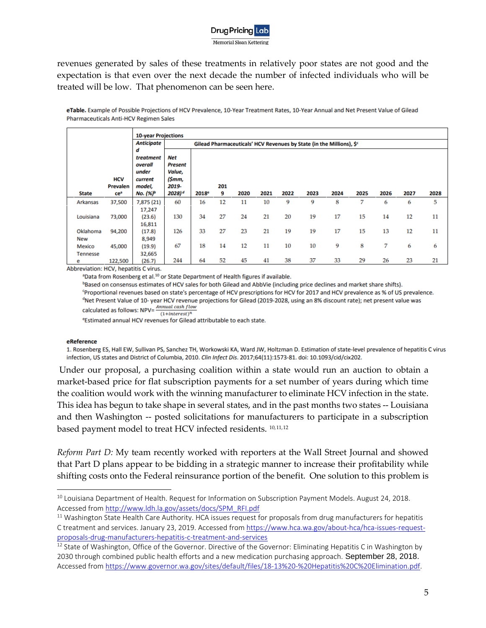

revenues generated by sales of these treatments in relatively poor states are not good and the expectation is that even over the next decade the number of infected individuals who will be treated will be low. That phenomenon can be seen here.

eTable. Example of Possible Projections of HCV Prevalence, 10-Year Treatment Rates, 10-Year Annual and Net Present Value of Gilead Pharmaceuticals Anti-HCV Regimen Sales

|                 |                        | <b>10-year Projections</b>                                                                |                                                    |                   |     |      |      |      |      |      |      |      |      |      |
|-----------------|------------------------|-------------------------------------------------------------------------------------------|----------------------------------------------------|-------------------|-----|------|------|------|------|------|------|------|------|------|
|                 |                        | <b>Anticipate</b><br>Gilead Pharmaceuticals' HCV Revenues by State (in the Millions), \$c |                                                    |                   |     |      |      |      |      |      |      |      |      |      |
|                 | <b>HCV</b><br>Prevalen | d<br>treatment<br>overall<br>under<br>current<br>model,                                   | Net<br><b>Present</b><br>Value,<br>(\$mm,<br>2019- |                   | 201 |      |      |      |      |      |      |      |      |      |
| <b>State</b>    | ceª                    | No. (%)b                                                                                  | 2028) <sup>d</sup>                                 | 2018 <sup>e</sup> | 9   | 2020 | 2021 | 2022 | 2023 | 2024 | 2025 | 2026 | 2027 | 2028 |
| <b>Arkansas</b> | 37,500                 | 7,875 (21)                                                                                | 60                                                 | 16                | 12  | 11   | 10   | 9    | 9    | 8    | 7    | 6    | 6    | 5    |
|                 |                        | 17,247                                                                                    |                                                    |                   |     |      |      |      |      |      |      |      |      |      |
| Louisiana       | 73,000                 | (23.6)                                                                                    | 130                                                | 34                | 27  | 24   | 21   | 20   | 19   | 17   | 15   | 14   | 12   | 11   |
|                 |                        | 16,811                                                                                    |                                                    |                   |     |      |      |      |      |      |      |      |      |      |
| Oklahoma        | 94,200                 | (17.8)                                                                                    | 126                                                | 33                | 27  | 23   | 21   | 19   | 19   | 17   | 15   | 13   | 12   | 11   |
| <b>New</b>      |                        | 8,949                                                                                     |                                                    |                   |     |      |      |      |      |      |      |      |      |      |
| Mexico          | 45,000                 | (19.9)                                                                                    | 67                                                 | 18                | 14  | 12   | 11   | 10   | 10   | 9    | 8    | 7    | 6    | 6    |
| <b>Tennesse</b> |                        | 32,665                                                                                    |                                                    |                   |     |      |      |      |      |      |      |      |      |      |
| e               | 122,500                | (26.7)                                                                                    | 244                                                | 64                | 52  | 45   | 41   | 38   | 37   | 33   | 29   | 26   | 23   | 21   |

Abbreviation: HCV, hepatitis C virus.

<sup>a</sup>Data from Rosenberg et al.<sup>10</sup> or State Department of Health figures if available.

<sup>b</sup>Based on consensus estimates of HCV sales for both Gilead and AbbVie (including price declines and market share shifts). <sup>c</sup>Proportional revenues based on state's percentage of HCV prescriptions for HCV for 2017 and HCV prevalence as % of US prevalence. <sup>d</sup>Net Present Value of 10- year HCV revenue projections for Gilead (2019-2028, using an 8% discount rate); net present value was calculated as follows:  $NPV = \frac{Annual\ cash\ flow}{(1 + k\) m}$ 

 $(1+interest)^n$ 

eEstimated annual HCV revenues for Gilead attributable to each state.

#### eReference

 $\overline{a}$ 

1. Rosenberg ES, Hall EW, Sullivan PS, Sanchez TH, Workowski KA, Ward JW, Holtzman D. Estimation of state-level prevalence of hepatitis C virus infection, US states and District of Columbia, 2010. Clin Infect Dis. 2017;64(11):1573-81. doi: 10.1093/cid/cix202.

Under our proposal, a purchasing coalition within a state would run an auction to obtain a market-based price for flat subscription payments for a set number of years during which time the coalition would work with the winning manufacturer to eliminate HCV infection in the state. This idea has begun to take shape in several states, and in the past months two states -- Louisiana and then Washington -- posted solicitations for manufacturers to participate in a subscription based payment model to treat HCV infected residents. [10](#page-4-0),[11,](#page-4-1)[12](#page-4-2)

*Reform Part D:* My team recently worked with reporters at the Wall Street Journal and showed that Part D plans appear to be bidding in a strategic manner to increase their profitability while shifting costs onto the Federal reinsurance portion of the benefit. One solution to this problem is

<span id="page-4-0"></span><sup>&</sup>lt;sup>10</sup> Louisiana Department of Health. Request for Information on Subscription Payment Models. August 24, 2018. Accessed from [http://www.ldh.la.gov/assets/docs/SPM\\_RFI.pdf](http://www.ldh.la.gov/assets/docs/SPM_RFI.pdf)

<span id="page-4-1"></span><sup>&</sup>lt;sup>11</sup> Washington State Health Care Authority. HCA issues request for proposals from drug manufacturers for hepatitis C treatment and services. January 23, 2019. Accessed from [https://www.hca.wa.gov/about-hca/hca-issues-request](https://www.hca.wa.gov/about-hca/hca-issues-request-proposals-drug-manufacturers-hepatitis-c-treatment-and-services)[proposals-drug-manufacturers-hepatitis-c-treatment-and-services](https://www.hca.wa.gov/about-hca/hca-issues-request-proposals-drug-manufacturers-hepatitis-c-treatment-and-services)

<span id="page-4-2"></span><sup>&</sup>lt;sup>12</sup> State of Washington, Office of the Governor. Directive of the Governor: Eliminating Hepatitis C in Washington by 2030 through combined public health efforts and a new medication purchasing approach. September 28, 2018. Accessed from [https://www.governor.wa.gov/sites/default/files/18-13%20-%20Hepatitis%20C%20Elimination.pdf.](https://www.governor.wa.gov/sites/default/files/18-13%20-%20Hepatitis%20C%20Elimination.pdf)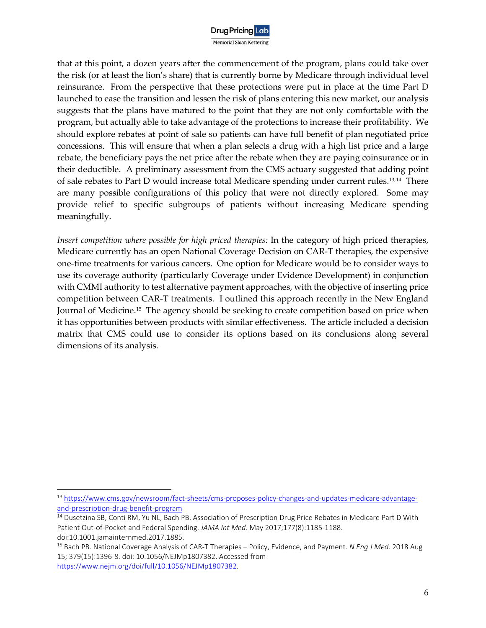

that at this point, a dozen years after the commencement of the program, plans could take over the risk (or at least the lion's share) that is currently borne by Medicare through individual level reinsurance. From the perspective that these protections were put in place at the time Part D launched to ease the transition and lessen the risk of plans entering this new market, our analysis suggests that the plans have matured to the point that they are not only comfortable with the program, but actually able to take advantage of the protections to increase their profitability. We should explore rebates at point of sale so patients can have full benefit of plan negotiated price concessions. This will ensure that when a plan selects a drug with a high list price and a large rebate, the beneficiary pays the net price after the rebate when they are paying coinsurance or in their deductible. A preliminary assessment from the CMS actuary suggested that adding point of sale rebates to Part D would increase total Medicare spending under current rules.[13](#page-5-0),[14](#page-5-1) There are many possible configurations of this policy that were not directly explored. Some may provide relief to specific subgroups of patients without increasing Medicare spending meaningfully.

*Insert competition where possible for high priced therapies:* In the category of high priced therapies, Medicare currently has an open National Coverage Decision on CAR-T therapies, the expensive one-time treatments for various cancers. One option for Medicare would be to consider ways to use its coverage authority (particularly Coverage under Evidence Development) in conjunction with CMMI authority to test alternative payment approaches, with the objective of inserting price competition between CAR-T treatments. I outlined this approach recently in the New England Journal of Medicine.<sup>[15](#page-5-2)</sup> The agency should be seeking to create competition based on price when it has opportunities between products with similar effectiveness. The article included a decision matrix that CMS could use to consider its options based on its conclusions along several dimensions of its analysis.

 $\overline{a}$ 

<span id="page-5-0"></span><sup>13</sup> [https://www.cms.gov/newsroom/fact-sheets/cms-proposes-policy-changes-and-updates-medicare-advantage](https://www.cms.gov/newsroom/fact-sheets/cms-proposes-policy-changes-and-updates-medicare-advantage-and-prescription-drug-benefit-program)[and-prescription-drug-benefit-program](https://www.cms.gov/newsroom/fact-sheets/cms-proposes-policy-changes-and-updates-medicare-advantage-and-prescription-drug-benefit-program)

<span id="page-5-1"></span><sup>&</sup>lt;sup>14</sup> Dusetzina SB, Conti RM, Yu NL, Bach PB. Association of Prescription Drug Price Rebates in Medicare Part D With Patient Out-of-Pocket and Federal Spending. *JAMA Int Med.* May 2017;177(8):1185-1188. doi:10.1001.jamainternmed.2017.1885.

<span id="page-5-2"></span><sup>15</sup> Bach PB. National Coverage Analysis of CAR-T Therapies – Policy, Evidence, and Payment. *N Eng J Med*. 2018 Aug 15; 379(15):1396-8. doi: 10.1056/NEJMp1807382. Accessed from [https://www.nejm.org/doi/full/10.1056/NEJMp1807382.](https://www.nejm.org/doi/full/10.1056/NEJMp1807382)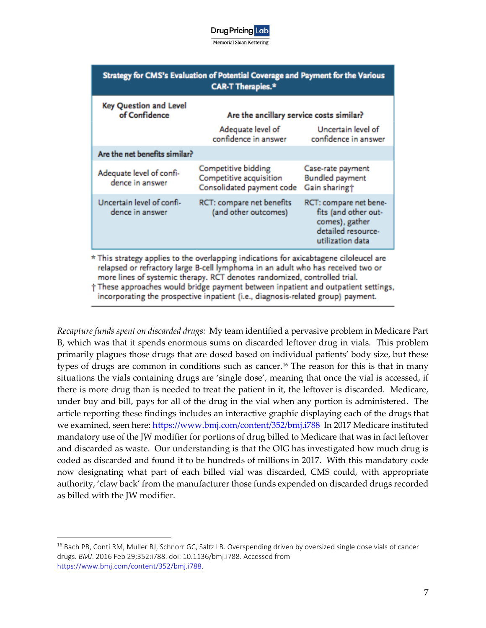**Drug Pricing Lab** Memorial Sloan Kettering

| Strategy for CMS's Evaluation of Potential Coverage and Payment for the Various<br><b>CAR-T Therapies.*</b>                                                                                                                                             |                                                                             |                                                                                                            |  |  |  |  |  |
|---------------------------------------------------------------------------------------------------------------------------------------------------------------------------------------------------------------------------------------------------------|-----------------------------------------------------------------------------|------------------------------------------------------------------------------------------------------------|--|--|--|--|--|
| <b>Key Question and Level</b><br>of Confidence                                                                                                                                                                                                          | Are the ancillary service costs similar?                                    |                                                                                                            |  |  |  |  |  |
|                                                                                                                                                                                                                                                         | Adequate level of<br>confidence in answer                                   | Uncertain level of<br>confidence in answer                                                                 |  |  |  |  |  |
| Are the net benefits similar?                                                                                                                                                                                                                           |                                                                             |                                                                                                            |  |  |  |  |  |
| Adequate level of confi-<br>dence in answer                                                                                                                                                                                                             | Competitive bidding<br>Competitive acquisition<br>Consolidated payment code | Case-rate payment<br><b>Bundled payment</b><br>Gain sharing†                                               |  |  |  |  |  |
| Uncertain level of confi-<br>dence in answer                                                                                                                                                                                                            | RCT: compare net benefits<br>(and other outcomes)                           | RCT: compare net bene-<br>fits (and other out-<br>comes), gather<br>detailed resource-<br>utilization data |  |  |  |  |  |
| * This strategy applies to the overlapping indications for axicabtagene ciloleucel are<br>relapsed or refractory large B-cell lymphoma in an adult who has received two or<br>more lines of systemic therapy. RCT denotes randomized, controlled trial. |                                                                             |                                                                                                            |  |  |  |  |  |

† These approaches would bridge payment between inpatient and outpatient settings, incorporating the prospective inpatient (i.e., diagnosis-related group) payment.

*Recapture funds spent on discarded drugs:* My team identified a pervasive problem in Medicare Part B, which was that it spends enormous sums on discarded leftover drug in vials. This problem primarily plagues those drugs that are dosed based on individual patients' body size, but these types of drugs are common in conditions such as cancer.<sup>16</sup> The reason for this is that in many situations the vials containing drugs are 'single dose', meaning that once the vial is accessed, if there is more drug than is needed to treat the patient in it, the leftover is discarded. Medicare, under buy and bill, pays for all of the drug in the vial when any portion is administered. The article reporting these findings includes an interactive graphic displaying each of the drugs that we examined, seen here[: https://www.bmj.com/content/352/bmj.i788](https://www.bmj.com/content/352/bmj.i788) In 2017 Medicare instituted mandatory use of the JW modifier for portions of drug billed to Medicare that was in fact leftover and discarded as waste. Our understanding is that the OIG has investigated how much drug is coded as discarded and found it to be hundreds of millions in 2017. With this mandatory code now designating what part of each billed vial was discarded, CMS could, with appropriate authority, 'claw back' from the manufacturer those funds expended on discarded drugs recorded as billed with the JW modifier.

<span id="page-6-0"></span> $\overline{a}$ <sup>16</sup> Bach PB, Conti RM, Muller RJ, Schnorr GC, Saltz LB. Overspending driven by oversized single dose vials of cancer drugs. *BMJ*. 2016 Feb 29;352:i788. doi: 10.1136/bmj.i788. Accessed from [https://www.bmj.com/content/352/bmj.i788.](https://www.bmj.com/content/352/bmj.i788)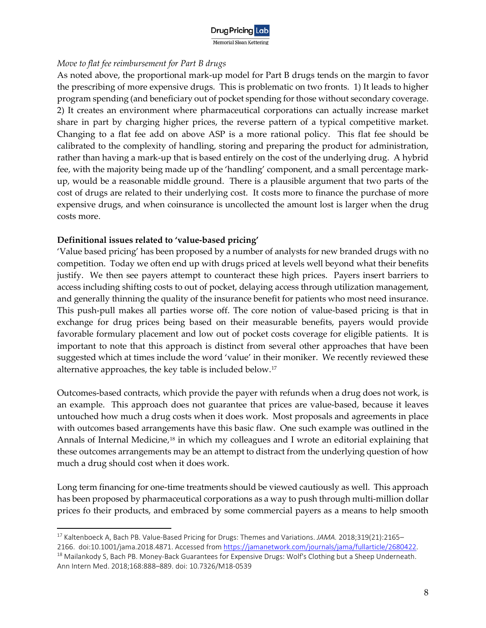

# *Move to flat fee reimbursement for Part B drugs*

As noted above, the proportional mark-up model for Part B drugs tends on the margin to favor the prescribing of more expensive drugs. This is problematic on two fronts. 1) It leads to higher program spending (and beneficiary out of pocket spending for those without secondary coverage. 2) It creates an environment where pharmaceutical corporations can actually increase market share in part by charging higher prices, the reverse pattern of a typical competitive market. Changing to a flat fee add on above ASP is a more rational policy. This flat fee should be calibrated to the complexity of handling, storing and preparing the product for administration, rather than having a mark-up that is based entirely on the cost of the underlying drug. A hybrid fee, with the majority being made up of the 'handling' component, and a small percentage markup, would be a reasonable middle ground. There is a plausible argument that two parts of the cost of drugs are related to their underlying cost. It costs more to finance the purchase of more expensive drugs, and when coinsurance is uncollected the amount lost is larger when the drug costs more.

# **Definitional issues related to 'value-based pricing'**

 $\overline{a}$ 

'Value based pricing' has been proposed by a number of analysts for new branded drugs with no competition. Today we often end up with drugs priced at levels well beyond what their benefits justify. We then see payers attempt to counteract these high prices. Payers insert barriers to access including shifting costs to out of pocket, delaying access through utilization management, and generally thinning the quality of the insurance benefit for patients who most need insurance. This push-pull makes all parties worse off. The core notion of value-based pricing is that in exchange for drug prices being based on their measurable benefits, payers would provide favorable formulary placement and low out of pocket costs coverage for eligible patients. It is important to note that this approach is distinct from several other approaches that have been suggested which at times include the word 'value' in their moniker. We recently reviewed these alternative approaches, the key table is included below.[17](#page-7-0)

Outcomes-based contracts, which provide the payer with refunds when a drug does not work, is an example. This approach does not guarantee that prices are value-based, because it leaves untouched how much a drug costs when it does work. Most proposals and agreements in place with outcomes based arrangements have this basic flaw. One such example was outlined in the Annals of Internal Medicine,<sup>[18](#page-7-1)</sup> in which my colleagues and I wrote an editorial explaining that these outcomes arrangements may be an attempt to distract from the underlying question of how much a drug should cost when it does work.

Long term financing for one-time treatments should be viewed cautiously as well. This approach has been proposed by pharmaceutical corporations as a way to push through multi-million dollar prices fo their products, and embraced by some commercial payers as a means to help smooth

<span id="page-7-0"></span><sup>17</sup> Kaltenboeck A, Bach PB. Value-Based Pricing for Drugs: Themes and Variations. *JAMA.* 2018;319(21):2165–

<sup>2166.</sup> doi:10.1001/jama.2018.4871. Accessed from [https://jamanetwork.com/journals/jama/fullarticle/2680422.](https://jamanetwork.com/journals/jama/fullarticle/2680422)

<span id="page-7-1"></span><sup>&</sup>lt;sup>18</sup> Mailankody S, Bach PB. Money-Back Guarantees for Expensive Drugs: Wolf's Clothing but a Sheep Underneath. Ann Intern Med. 2018;168:888–889. doi: 10.7326/M18-0539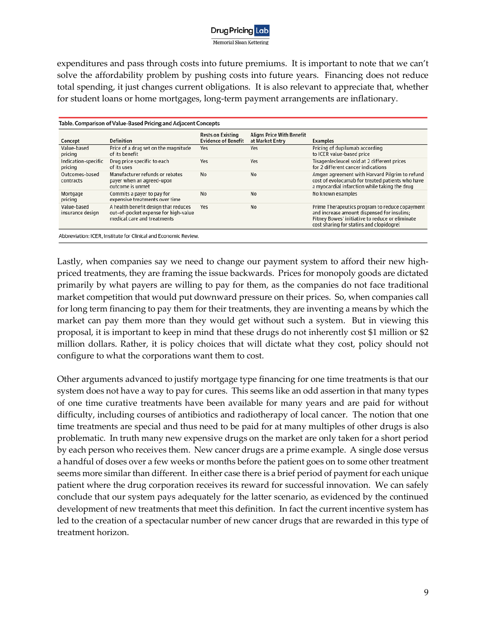

expenditures and pass through costs into future premiums. It is important to note that we can't solve the affordability problem by pushing costs into future years. Financing does not reduce total spending, it just changes current obligations. It is also relevant to appreciate that, whether for student loans or home mortgages, long-term payment arrangements are inflationary.

| Table. Comparison of Value-Based Pricing and Adjacent Concepts  |                                                                                                             |                                                        |                                                     |                                                                                                                                                                                              |  |  |  |
|-----------------------------------------------------------------|-------------------------------------------------------------------------------------------------------------|--------------------------------------------------------|-----------------------------------------------------|----------------------------------------------------------------------------------------------------------------------------------------------------------------------------------------------|--|--|--|
| Concept                                                         | <b>Definition</b>                                                                                           | <b>Rests on Existing</b><br><b>Evidence of Benefit</b> | <b>Aligns Price With Benefit</b><br>at Market Entry | <b>Examples</b>                                                                                                                                                                              |  |  |  |
| Value-based<br>pricing                                          | Price of a drug set on the magnitude<br>of its benefit                                                      | Yes                                                    | Yes                                                 | Pricing of dupilumab according<br>to ICER value-based price                                                                                                                                  |  |  |  |
| Indication-specific<br>pricing                                  | Drug price specific to each<br>of its uses                                                                  | Yes                                                    | Yes                                                 | Tisagenlecleucel sold at 2 different prices<br>for 2 different cancer indications                                                                                                            |  |  |  |
| Outcomes-based<br>contracts                                     | Manufacturer refunds or rebates<br>payer when an agreed-upon<br>outcome is unmet                            | No                                                     | No                                                  | Amgen agreement with Harvard Pilgrim to refund<br>cost of evolocumab for treated patients who have<br>a myocardial infarction while taking the drug                                          |  |  |  |
| Mortgage<br>pricing                                             | Commits a payer to pay for<br>expensive treatments over time                                                | No                                                     | No                                                  | No known examples                                                                                                                                                                            |  |  |  |
| Value-based<br>insurance design                                 | A health benefit design that reduces<br>out-of-pocket expense for high-value<br>medical care and treatments | Yes                                                    | No                                                  | Prime Therapeutics program to reduce copayment<br>and increase amount dispensed for insulins;<br>Pitney Bowes' initiative to reduce or eliminate<br>cost sharing for statins and clopidogrel |  |  |  |
| Abbreviation: ICER. Institute for Clinical and Economic Review. |                                                                                                             |                                                        |                                                     |                                                                                                                                                                                              |  |  |  |

Lastly, when companies say we need to change our payment system to afford their new highpriced treatments, they are framing the issue backwards. Prices for monopoly goods are dictated primarily by what payers are willing to pay for them, as the companies do not face traditional market competition that would put downward pressure on their prices. So, when companies call for long term financing to pay them for their treatments, they are inventing a means by which the market can pay them more than they would get without such a system. But in viewing this proposal, it is important to keep in mind that these drugs do not inherently cost \$1 million or \$2 million dollars. Rather, it is policy choices that will dictate what they cost, policy should not configure to what the corporations want them to cost.

Other arguments advanced to justify mortgage type financing for one time treatments is that our system does not have a way to pay for cures. This seems like an odd assertion in that many types of one time curative treatments have been available for many years and are paid for without difficulty, including courses of antibiotics and radiotherapy of local cancer. The notion that one time treatments are special and thus need to be paid for at many multiples of other drugs is also problematic. In truth many new expensive drugs on the market are only taken for a short period by each person who receives them. New cancer drugs are a prime example. A single dose versus a handful of doses over a few weeks or months before the patient goes on to some other treatment seems more similar than different. In either case there is a brief period of payment for each unique patient where the drug corporation receives its reward for successful innovation. We can safely conclude that our system pays adequately for the latter scenario, as evidenced by the continued development of new treatments that meet this definition. In fact the current incentive system has led to the creation of a spectacular number of new cancer drugs that are rewarded in this type of treatment horizon.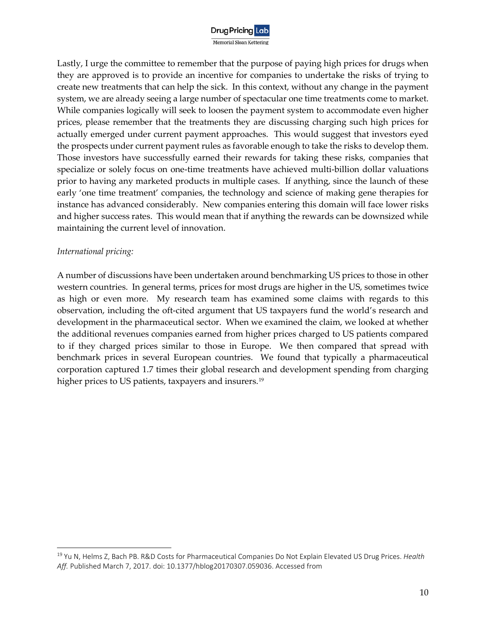

Lastly, I urge the committee to remember that the purpose of paying high prices for drugs when they are approved is to provide an incentive for companies to undertake the risks of trying to create new treatments that can help the sick. In this context, without any change in the payment system, we are already seeing a large number of spectacular one time treatments come to market. While companies logically will seek to loosen the payment system to accommodate even higher prices, please remember that the treatments they are discussing charging such high prices for actually emerged under current payment approaches. This would suggest that investors eyed the prospects under current payment rules as favorable enough to take the risks to develop them. Those investors have successfully earned their rewards for taking these risks, companies that specialize or solely focus on one-time treatments have achieved multi-billion dollar valuations prior to having any marketed products in multiple cases. If anything, since the launch of these early 'one time treatment' companies, the technology and science of making gene therapies for instance has advanced considerably. New companies entering this domain will face lower risks and higher success rates. This would mean that if anything the rewards can be downsized while maintaining the current level of innovation.

#### *International pricing:*

 $\overline{a}$ 

A number of discussions have been undertaken around benchmarking US prices to those in other western countries. In general terms, prices for most drugs are higher in the US, sometimes twice as high or even more. My research team has examined some claims with regards to this observation, including the oft-cited argument that US taxpayers fund the world's research and development in the pharmaceutical sector. When we examined the claim, we looked at whether the additional revenues companies earned from higher prices charged to US patients compared to if they charged prices similar to those in Europe. We then compared that spread with benchmark prices in several European countries. We found that typically a pharmaceutical corporation captured 1.7 times their global research and development spending from charging higher prices to US patients, taxpayers and insurers.<sup>19</sup>

<span id="page-9-0"></span><sup>19</sup> Yu N, Helms Z, Bach PB. R&D Costs for Pharmaceutical Companies Do Not Explain Elevated US Drug Prices. *Health Aff.* Published March 7, 2017. doi: 10.1377/hblog20170307.059036. Accessed from